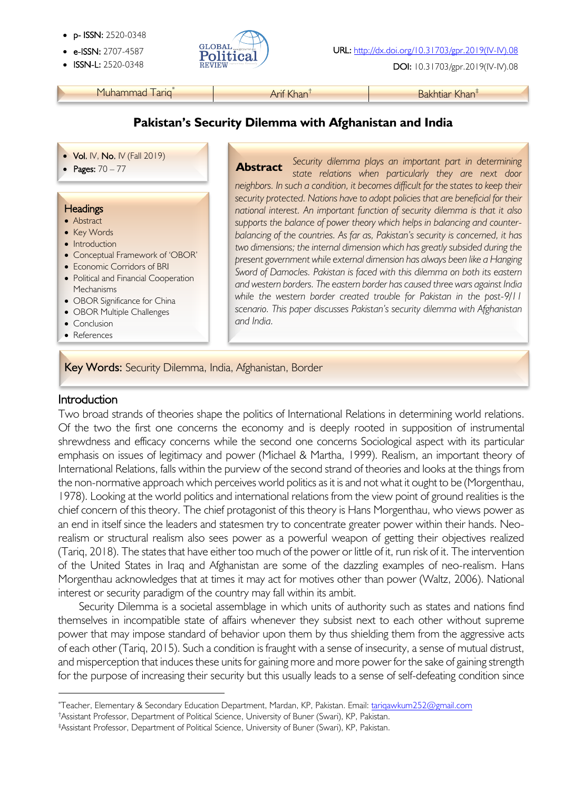- p- ISSN: 2520-0348
- 
- 



**ISSN-L:** 2520-0348 **REVIEW ALLERGY CONSUMING THE CONSUMING DOI:** 10.31703/gpr.2019(IV-IV).08

Muhammad Tariq<sup>\*</sup> Arif Khan<sup>†</sup> Arif Khan<sup>†</sup> Bakhtiar Khan<sup>‡</sup>

#### **Pakistan's Security Dilemma with Afghanistan and India**

#### • Vol. IV, No. IV (Fall 2019)

#### **Headings**

- Abstract
- Key Words
- Introduction
- Conceptual Framework of 'OBOR'
- Economic Corridors of BRI
- Political and Financial Cooperation **Mechanisms**
- OBOR Significance for China
- OBOR Multiple Challenges
- Conclusion
- References

• **Pages:** 70 – 77 **Security dilemma plays an important part in determining <b>Abstract** Security dilemma plays an important part in determining *state relations when particularly they are next door neighbors. In such a condition, it becomes difficult for the states to keep their security protected. Nations have to adopt policies that are beneficial for their national interest. An important function of security dilemma is that it also supports the balance of power theory which helps in balancing and counterbalancing of the countries. As far as, Pakistan's security is concerned, it has two dimensions; the internal dimension which has greatly subsided during the present government while external dimension has always been like a Hanging Sword of Damocles. Pakistan is faced with this dilemma on both its eastern and western borders. The eastern border has caused three wars against India while the western border created trouble for Pakistan in the post-9/11 scenario. This paper discusses Pakistan's security dilemma with Afghanistan and India.*  **Abstract**

#### Key Words: Security Dilemma, India, Afghanistan, Border

#### Introduction

Two broad strands of theories shape the politics of International Relations in determining world relations. Of the two the first one concerns the economy and is deeply rooted in supposition of instrumental shrewdness and efficacy concerns while the second one concerns Sociological aspect with its particular emphasis on issues of legitimacy and power (Michael & Martha, 1999). Realism, an important theory of International Relations, falls within the purview of the second strand of theories and looks at the things from the non-normative approach which perceives world politics as it is and not what it ought to be (Morgenthau, 1978). Looking at the world politics and international relations from the view point of ground realities is the chief concern of this theory. The chief protagonist of this theory is Hans Morgenthau, who views power as an end in itself since the leaders and statesmen try to concentrate greater power within their hands. Neorealism or structural realism also sees power as a powerful weapon of getting their objectives realized (Tariq, 2018). The states that have either too much of the power or little of it, run risk of it. The intervention of the United States in Iraq and Afghanistan are some of the dazzling examples of neo-realism. Hans Morgenthau acknowledges that at times it may act for motives other than power (Waltz, 2006). National interest or security paradigm of the country may fall within its ambit.

Security Dilemma is a societal assemblage in which units of authority such as states and nations find themselves in incompatible state of affairs whenever they subsist next to each other without supreme power that may impose standard of behavior upon them by thus shielding them from the aggressive acts of each other (Tariq, 2015). Such a condition is fraught with a sense of insecurity, a sense of mutual distrust, and misperception that induces these units for gaining more and more power for the sake of gaining strength for the purpose of increasing their security but this usually leads to a sense of self-defeating condition since

<sup>\*</sup> Teacher, Elementary & Secondary Education Department, Mardan, KP, Pakistan. Email: tariqawkum252@gmail.com

<sup>†</sup>Assistant Professor, Department of Political Science, University of Buner (Swari), KP, Pakistan.

<sup>‡</sup>Assistant Professor, Department of Political Science, University of Buner (Swari), KP, Pakistan.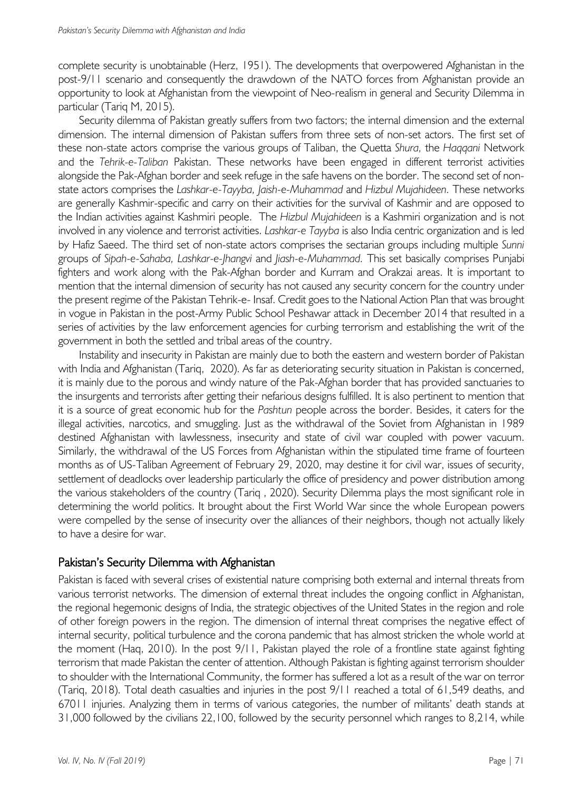complete security is unobtainable (Herz, 1951). The developments that overpowered Afghanistan in the post-9/11 scenario and consequently the drawdown of the NATO forces from Afghanistan provide an opportunity to look at Afghanistan from the viewpoint of Neo-realism in general and Security Dilemma in particular (Tariq M, 2015).

Security dilemma of Pakistan greatly suffers from two factors; the internal dimension and the external dimension. The internal dimension of Pakistan suffers from three sets of non-set actors. The first set of these non-state actors comprise the various groups of Taliban, the Quetta *Shura,* the *Haqqani* Network and the *Tehrik-e-Taliban* Pakistan. These networks have been engaged in different terrorist activities alongside the Pak-Afghan border and seek refuge in the safe havens on the border. The second set of nonstate actors comprises the *Lashkar-e-Tayyba, Jaish-e-Muhammad* and *Hizbul Mujahideen.* These networks are generally Kashmir-specific and carry on their activities for the survival of Kashmir and are opposed to the Indian activities against Kashmiri people. The *Hizbul Mujahideen* is a Kashmiri organization and is not involved in any violence and terrorist activities. *Lashkar-e Tayyba* is also India centric organization and is led by Hafiz Saeed. The third set of non-state actors comprises the sectarian groups including multiple *Sunni* groups of *Sipah-e-Sahaba, Lashkar-e-Jhangvi* and *Jiash-e-Muhammad.* This set basically comprises Punjabi fighters and work along with the Pak-Afghan border and Kurram and Orakzai areas. It is important to mention that the internal dimension of security has not caused any security concern for the country under the present regime of the Pakistan Tehrik-e- Insaf. Credit goes to the National Action Plan that was brought in vogue in Pakistan in the post-Army Public School Peshawar attack in December 2014 that resulted in a series of activities by the law enforcement agencies for curbing terrorism and establishing the writ of the government in both the settled and tribal areas of the country.

Instability and insecurity in Pakistan are mainly due to both the eastern and western border of Pakistan with India and Afghanistan (Tariq, 2020). As far as deteriorating security situation in Pakistan is concerned, it is mainly due to the porous and windy nature of the Pak-Afghan border that has provided sanctuaries to the insurgents and terrorists after getting their nefarious designs fulfilled. It is also pertinent to mention that it is a source of great economic hub for the *Pashtun* people across the border. Besides, it caters for the illegal activities, narcotics, and smuggling. Just as the withdrawal of the Soviet from Afghanistan in 1989 destined Afghanistan with lawlessness, insecurity and state of civil war coupled with power vacuum. Similarly, the withdrawal of the US Forces from Afghanistan within the stipulated time frame of fourteen months as of US-Taliban Agreement of February 29, 2020, may destine it for civil war, issues of security, settlement of deadlocks over leadership particularly the office of presidency and power distribution among the various stakeholders of the country (Tariq , 2020). Security Dilemma plays the most significant role in determining the world politics. It brought about the First World War since the whole European powers were compelled by the sense of insecurity over the alliances of their neighbors, though not actually likely to have a desire for war.

## Pakistan's Security Dilemma with Afghanistan

Pakistan is faced with several crises of existential nature comprising both external and internal threats from various terrorist networks. The dimension of external threat includes the ongoing conflict in Afghanistan, the regional hegemonic designs of India, the strategic objectives of the United States in the region and role of other foreign powers in the region. The dimension of internal threat comprises the negative effect of internal security, political turbulence and the corona pandemic that has almost stricken the whole world at the moment (Haq, 2010). In the post 9/11, Pakistan played the role of a frontline state against fighting terrorism that made Pakistan the center of attention. Although Pakistan is fighting against terrorism shoulder to shoulder with the International Community, the former has suffered a lot as a result of the war on terror (Tariq, 2018). Total death casualties and injuries in the post 9/11 reached a total of 61,549 deaths, and 67011 injuries. Analyzing them in terms of various categories, the number of militants' death stands at 31,000 followed by the civilians 22,100, followed by the security personnel which ranges to 8,214, while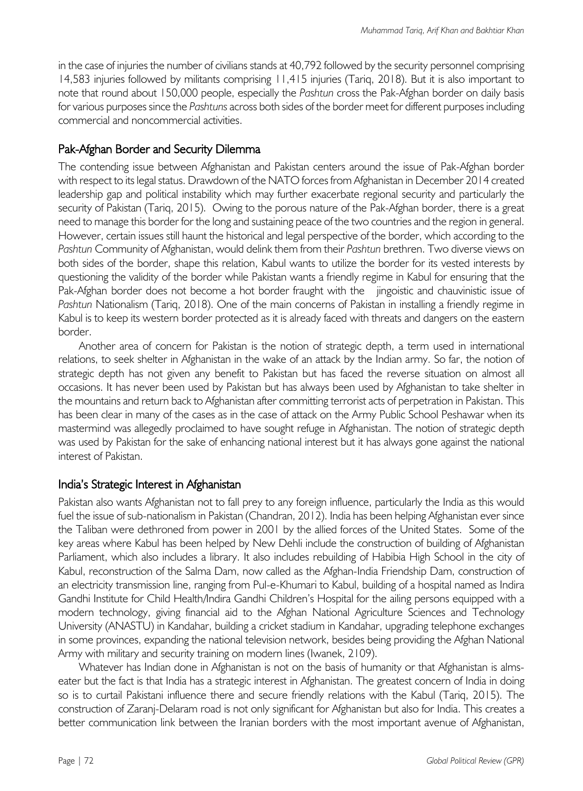in the case of injuries the number of civilians stands at 40,792 followed by the security personnel comprising 14,583 injuries followed by militants comprising 11,415 injuries (Tariq, 2018). But it is also important to note that round about 150,000 people, especially the *Pashtun* cross the Pak-Afghan border on daily basis for various purposes since the *Pashtuns* across both sides of the border meet for different purposes including commercial and noncommercial activities.

# Pak-Afghan Border and Security Dilemma

The contending issue between Afghanistan and Pakistan centers around the issue of Pak-Afghan border with respect to its legal status. Drawdown of the NATO forces from Afghanistan in December 2014 created leadership gap and political instability which may further exacerbate regional security and particularly the security of Pakistan (Tariq, 2015). Owing to the porous nature of the Pak-Afghan border, there is a great need to manage this border for the long and sustaining peace of the two countries and the region in general. However, certain issues still haunt the historical and legal perspective of the border, which according to the *Pashtun* Community of Afghanistan, would delink them from their *Pashtun* brethren. Two diverse views on both sides of the border, shape this relation, Kabul wants to utilize the border for its vested interests by questioning the validity of the border while Pakistan wants a friendly regime in Kabul for ensuring that the Pak-Afghan border does not become a hot border fraught with the jingoistic and chauvinistic issue of *Pashtun* Nationalism (Tariq, 2018). One of the main concerns of Pakistan in installing a friendly regime in Kabul is to keep its western border protected as it is already faced with threats and dangers on the eastern border.

Another area of concern for Pakistan is the notion of strategic depth, a term used in international relations, to seek shelter in Afghanistan in the wake of an attack by the Indian army. So far, the notion of strategic depth has not given any benefit to Pakistan but has faced the reverse situation on almost all occasions. It has never been used by Pakistan but has always been used by Afghanistan to take shelter in the mountains and return back to Afghanistan after committing terrorist acts of perpetration in Pakistan. This has been clear in many of the cases as in the case of attack on the Army Public School Peshawar when its mastermind was allegedly proclaimed to have sought refuge in Afghanistan. The notion of strategic depth was used by Pakistan for the sake of enhancing national interest but it has always gone against the national interest of Pakistan.

## India's Strategic Interest in Afghanistan

Pakistan also wants Afghanistan not to fall prey to any foreign influence, particularly the India as this would fuel the issue of sub-nationalism in Pakistan (Chandran, 2012). India has been helping Afghanistan ever since the Taliban were dethroned from power in 2001 by the allied forces of the United States. Some of the key areas where Kabul has been helped by New Dehli include the construction of building of Afghanistan Parliament, which also includes a library. It also includes rebuilding of Habibia High School in the city of Kabul, reconstruction of the Salma Dam, now called as the Afghan-India Friendship Dam, construction of an electricity transmission line, ranging from Pul-e-Khumari to Kabul, building of a hospital named as Indira Gandhi Institute for Child Health/Indira Gandhi Children's Hospital for the ailing persons equipped with a modern technology, giving financial aid to the Afghan National Agriculture Sciences and Technology University (ANASTU) in Kandahar, building a cricket stadium in Kandahar, upgrading telephone exchanges in some provinces, expanding the national television network, besides being providing the Afghan National Army with military and security training on modern lines (Iwanek, 2109).

Whatever has Indian done in Afghanistan is not on the basis of humanity or that Afghanistan is almseater but the fact is that India has a strategic interest in Afghanistan. The greatest concern of India in doing so is to curtail Pakistani influence there and secure friendly relations with the Kabul (Tariq, 2015). The construction of Zaranj-Delaram road is not only significant for Afghanistan but also for India. This creates a better communication link between the Iranian borders with the most important avenue of Afghanistan,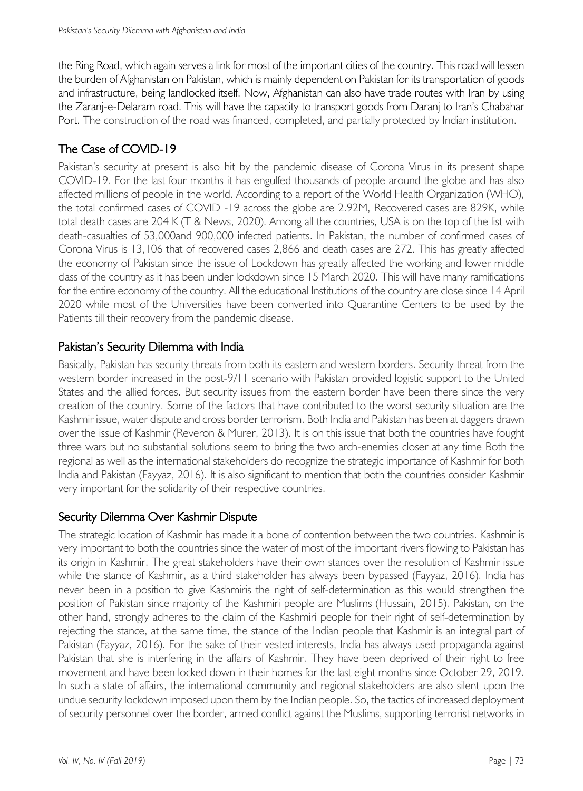the Ring Road, which again serves a link for most of the important cities of the country. This road will lessen the burden of Afghanistan on Pakistan, which is mainly dependent on Pakistan for its transportation of goods and infrastructure, being landlocked itself. Now, Afghanistan can also have trade routes with Iran by using the Zaranj-e-Delaram road. This will have the capacity to transport goods from Daranj to Iran's Chabahar Port. The construction of the road was financed, completed, and partially protected by Indian institution.

# The Case of COVID-19

Pakistan's security at present is also hit by the pandemic disease of Corona Virus in its present shape COVID-19. For the last four months it has engulfed thousands of people around the globe and has also affected millions of people in the world. According to a report of the World Health Organization (WHO), the total confirmed cases of COVID -19 across the globe are 2.92M, Recovered cases are 829K, while total death cases are 204 K (T & News, 2020). Among all the countries, USA is on the top of the list with death-casualties of 53,000and 900,000 infected patients. In Pakistan, the number of confirmed cases of Corona Virus is 13,106 that of recovered cases 2,866 and death cases are 272. This has greatly affected the economy of Pakistan since the issue of Lockdown has greatly affected the working and lower middle class of the country as it has been under lockdown since 15 March 2020. This will have many ramifications for the entire economy of the country. All the educational Institutions of the country are close since 14 April 2020 while most of the Universities have been converted into Quarantine Centers to be used by the Patients till their recovery from the pandemic disease.

# Pakistan's Security Dilemma with India

Basically, Pakistan has security threats from both its eastern and western borders. Security threat from the western border increased in the post-9/11 scenario with Pakistan provided logistic support to the United States and the allied forces. But security issues from the eastern border have been there since the very creation of the country. Some of the factors that have contributed to the worst security situation are the Kashmir issue, water dispute and cross border terrorism. Both India and Pakistan has been at daggers drawn over the issue of Kashmir (Reveron & Murer, 2013). It is on this issue that both the countries have fought three wars but no substantial solutions seem to bring the two arch-enemies closer at any time Both the regional as well as the international stakeholders do recognize the strategic importance of Kashmir for both India and Pakistan (Fayyaz, 2016). It is also significant to mention that both the countries consider Kashmir very important for the solidarity of their respective countries.

# Security Dilemma Over Kashmir Dispute

The strategic location of Kashmir has made it a bone of contention between the two countries. Kashmir is very important to both the countries since the water of most of the important rivers flowing to Pakistan has its origin in Kashmir. The great stakeholders have their own stances over the resolution of Kashmir issue while the stance of Kashmir, as a third stakeholder has always been bypassed (Fayyaz, 2016). India has never been in a position to give Kashmiris the right of self-determination as this would strengthen the position of Pakistan since majority of the Kashmiri people are Muslims (Hussain, 2015). Pakistan, on the other hand, strongly adheres to the claim of the Kashmiri people for their right of self-determination by rejecting the stance, at the same time, the stance of the Indian people that Kashmir is an integral part of Pakistan (Fayyaz, 2016). For the sake of their vested interests, India has always used propaganda against Pakistan that she is interfering in the affairs of Kashmir. They have been deprived of their right to free movement and have been locked down in their homes for the last eight months since October 29, 2019. In such a state of affairs, the international community and regional stakeholders are also silent upon the undue security lockdown imposed upon them by the Indian people. So, the tactics of increased deployment of security personnel over the border, armed conflict against the Muslims, supporting terrorist networks in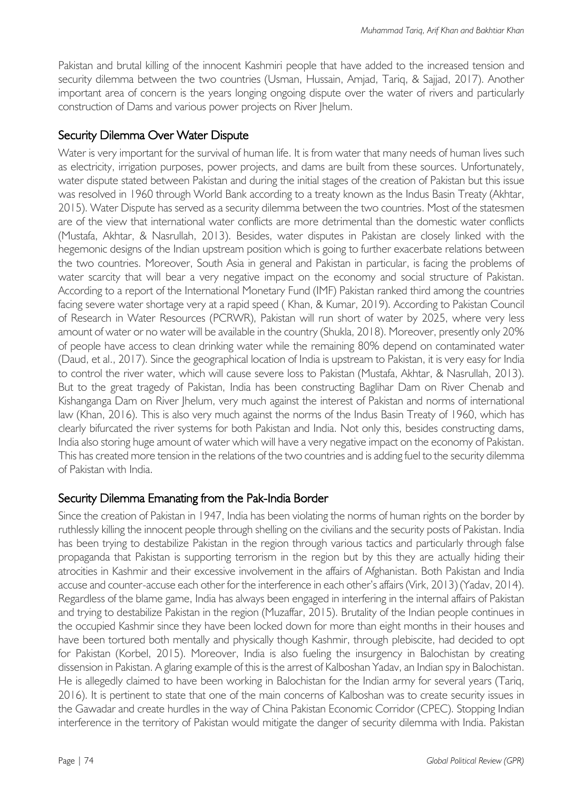Pakistan and brutal killing of the innocent Kashmiri people that have added to the increased tension and security dilemma between the two countries (Usman, Hussain, Amjad, Tariq, & Sajjad, 2017). Another important area of concern is the years longing ongoing dispute over the water of rivers and particularly construction of Dams and various power projects on River Jhelum.

# Security Dilemma Over Water Dispute

Water is very important for the survival of human life. It is from water that many needs of human lives such as electricity, irrigation purposes, power projects, and dams are built from these sources. Unfortunately, water dispute stated between Pakistan and during the initial stages of the creation of Pakistan but this issue was resolved in 1960 through World Bank according to a treaty known as the Indus Basin Treaty (Akhtar, 2015). Water Dispute has served as a security dilemma between the two countries. Most of the statesmen are of the view that international water conflicts are more detrimental than the domestic water conflicts (Mustafa, Akhtar, & Nasrullah, 2013). Besides, water disputes in Pakistan are closely linked with the hegemonic designs of the Indian upstream position which is going to further exacerbate relations between the two countries. Moreover, South Asia in general and Pakistan in particular, is facing the problems of water scarcity that will bear a very negative impact on the economy and social structure of Pakistan. According to a report of the International Monetary Fund (IMF) Pakistan ranked third among the countries facing severe water shortage very at a rapid speed ( Khan, & Kumar, 2019). According to Pakistan Council of Research in Water Resources (PCRWR), Pakistan will run short of water by 2025, where very less amount of water or no water will be available in the country (Shukla, 2018). Moreover, presently only 20% of people have access to clean drinking water while the remaining 80% depend on contaminated water (Daud, et al., 2017). Since the geographical location of India is upstream to Pakistan, it is very easy for India to control the river water, which will cause severe loss to Pakistan (Mustafa, Akhtar, & Nasrullah, 2013). But to the great tragedy of Pakistan, India has been constructing Baglihar Dam on River Chenab and Kishanganga Dam on River Jhelum, very much against the interest of Pakistan and norms of international law (Khan, 2016). This is also very much against the norms of the Indus Basin Treaty of 1960, which has clearly bifurcated the river systems for both Pakistan and India. Not only this, besides constructing dams, India also storing huge amount of water which will have a very negative impact on the economy of Pakistan. This has created more tension in the relations of the two countries and is adding fuel to the security dilemma of Pakistan with India.

# Security Dilemma Emanating from the Pak-India Border

Since the creation of Pakistan in 1947, India has been violating the norms of human rights on the border by ruthlessly killing the innocent people through shelling on the civilians and the security posts of Pakistan. India has been trying to destabilize Pakistan in the region through various tactics and particularly through false propaganda that Pakistan is supporting terrorism in the region but by this they are actually hiding their atrocities in Kashmir and their excessive involvement in the affairs of Afghanistan. Both Pakistan and India accuse and counter-accuse each other for the interference in each other's affairs (Virk, 2013) (Yadav, 2014). Regardless of the blame game, India has always been engaged in interfering in the internal affairs of Pakistan and trying to destabilize Pakistan in the region (Muzaffar, 2015). Brutality of the Indian people continues in the occupied Kashmir since they have been locked down for more than eight months in their houses and have been tortured both mentally and physically though Kashmir, through plebiscite, had decided to opt for Pakistan (Korbel, 2015). Moreover, India is also fueling the insurgency in Balochistan by creating dissension in Pakistan. A glaring example of this is the arrest of Kalboshan Yadav, an Indian spy in Balochistan. He is allegedly claimed to have been working in Balochistan for the Indian army for several years (Tariq, 2016). It is pertinent to state that one of the main concerns of Kalboshan was to create security issues in the Gawadar and create hurdles in the way of China Pakistan Economic Corridor (CPEC). Stopping Indian interference in the territory of Pakistan would mitigate the danger of security dilemma with India. Pakistan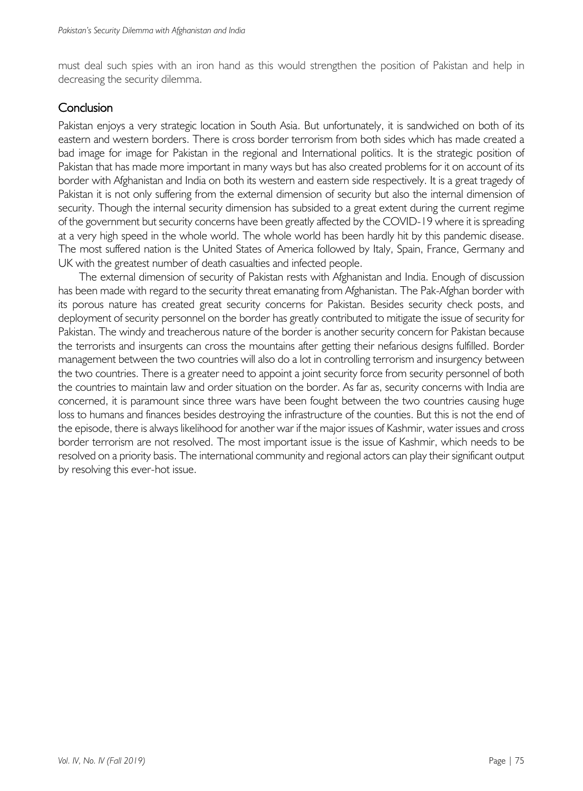must deal such spies with an iron hand as this would strengthen the position of Pakistan and help in decreasing the security dilemma.

## **Conclusion**

Pakistan enjoys a very strategic location in South Asia. But unfortunately, it is sandwiched on both of its eastern and western borders. There is cross border terrorism from both sides which has made created a bad image for image for Pakistan in the regional and International politics. It is the strategic position of Pakistan that has made more important in many ways but has also created problems for it on account of its border with Afghanistan and India on both its western and eastern side respectively. It is a great tragedy of Pakistan it is not only suffering from the external dimension of security but also the internal dimension of security. Though the internal security dimension has subsided to a great extent during the current regime of the government but security concerns have been greatly affected by the COVID-19 where it is spreading at a very high speed in the whole world. The whole world has been hardly hit by this pandemic disease. The most suffered nation is the United States of America followed by Italy, Spain, France, Germany and UK with the greatest number of death casualties and infected people.

The external dimension of security of Pakistan rests with Afghanistan and India. Enough of discussion has been made with regard to the security threat emanating from Afghanistan. The Pak-Afghan border with its porous nature has created great security concerns for Pakistan. Besides security check posts, and deployment of security personnel on the border has greatly contributed to mitigate the issue of security for Pakistan. The windy and treacherous nature of the border is another security concern for Pakistan because the terrorists and insurgents can cross the mountains after getting their nefarious designs fulfilled. Border management between the two countries will also do a lot in controlling terrorism and insurgency between the two countries. There is a greater need to appoint a joint security force from security personnel of both the countries to maintain law and order situation on the border. As far as, security concerns with India are concerned, it is paramount since three wars have been fought between the two countries causing huge loss to humans and finances besides destroying the infrastructure of the counties. But this is not the end of the episode, there is always likelihood for another war if the major issues of Kashmir, water issues and cross border terrorism are not resolved. The most important issue is the issue of Kashmir, which needs to be resolved on a priority basis. The international community and regional actors can play their significant output by resolving this ever-hot issue.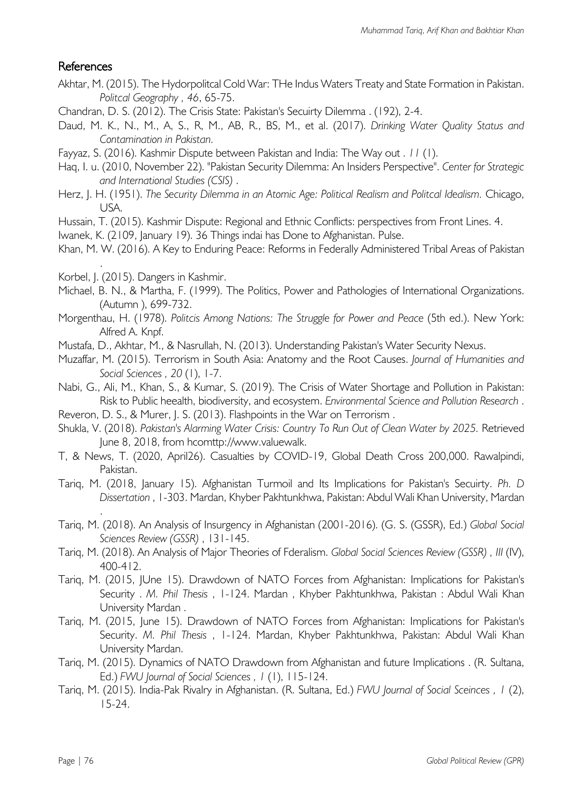# References

- Akhtar, M. (2015). The Hydorpolitcal Cold War: THe Indus Waters Treaty and State Formation in Pakistan. *Politcal Geography , 46*, 65-75.
- Chandran, D. S. (2012). The Crisis State: Pakistan's Secuirty Dilemma . (192), 2-4.
- Daud, M. K., N., M., A, S., R, M., AB, R., BS, M., et al. (2017). *Drinking Water Quality Status and Contamination in Pakistan.*
- Fayyaz, S. (2016). Kashmir Dispute between Pakistan and India: The Way out . *11* (1).
- Haq, I. u. (2010, November 22). "Pakistan Security Dilemma: An Insiders Perspective". *Center for Strategic and International Studies (CSIS)* .
- Herz, J. H. (1951). *The Security Dilemma in an Atomic Age: Political Realism and Politcal Idealism.* Chicago, USA.
- Hussain, T. (2015). Kashmir Dispute: Regional and Ethnic Conflicts: perspectives from Front Lines. 4.
- Iwanek, K. (2109, January 19). 36 Things indai has Done to Afghanistan. Pulse.
- Khan, M. W. (2016). A Key to Enduring Peace: Reforms in Federally Administered Tribal Areas of Pakistan
- Korbel, J. (2015). Dangers in Kashmir.

.

.

- Michael, B. N., & Martha, F. (1999). The Politics, Power and Pathologies of International Organizations. (Autumn ), 699-732.
- Morgenthau, H. (1978). *Politcis Among Nations: The Struggle for Power and Peace* (5th ed.). New York: Alfred A. Knpf.
- Mustafa, D., Akhtar, M., & Nasrullah, N. (2013). Understanding Pakistan's Water Security Nexus.
- Muzaffar, M. (2015). Terrorism in South Asia: Anatomy and the Root Causes. *Journal of Humanities and Social Sciences , 20* (1), 1-7.
- Nabi, G., Ali, M., Khan, S., & Kumar, S. (2019). The Crisis of Water Shortage and Pollution in Pakistan: Risk to Public heealth, biodiversity, and ecosystem. *Environmental Science and Pollution Research* .
- Reveron, D. S., & Murer, J. S. (2013). Flashpoints in the War on Terrorism .
- Shukla, V. (2018). *Pakistan's Alarming Water Crisis: Country To Run Out of Clean Water by 2025.* Retrieved June 8, 2018, from hcomttp://www.valuewalk.
- T, & News, T. (2020, April26). Casualties by COVID-19, Global Death Cross 200,000. Rawalpindi, Pakistan.
- Tariq, M. (2018, January 15). Afghanistan Turmoil and Its Implications for Pakistan's Secuirty. *Ph. D Dissertation* , 1-303. Mardan, Khyber Pakhtunkhwa, Pakistan: Abdul Wali Khan University, Mardan
- Tariq, M. (2018). An Analysis of Insurgency in Afghanistan (2001-2016). (G. S. (GSSR), Ed.) *Global Social Sciences Review (GSSR)* , 131-145.
- Tariq, M. (2018). An Analysis of Major Theories of Fderalism. *Global Social Sciences Review (GSSR) , III* (IV), 400-412.
- Tariq, M. (2015, JUne 15). Drawdown of NATO Forces from Afghanistan: Implications for Pakistan's Security . *M. Phil Thesis* , 1-124. Mardan , Khyber Pakhtunkhwa, Pakistan : Abdul Wali Khan University Mardan .
- Tariq, M. (2015, June 15). Drawdown of NATO Forces from Afghanistan: Implications for Pakistan's Security. *M. Phil Thesis* , 1-124. Mardan, Khyber Pakhtunkhwa, Pakistan: Abdul Wali Khan University Mardan.
- Tariq, M. (2015). Dynamics of NATO Drawdown from Afghanistan and future Implications . (R. Sultana, Ed.) *FWU Journal of Social Sciences , 1* (1), 115-124.
- Tariq, M. (2015). India-Pak Rivalry in Afghanistan. (R. Sultana, Ed.) *FWU Journal of Social Sceinces , 1* (2), 15-24.